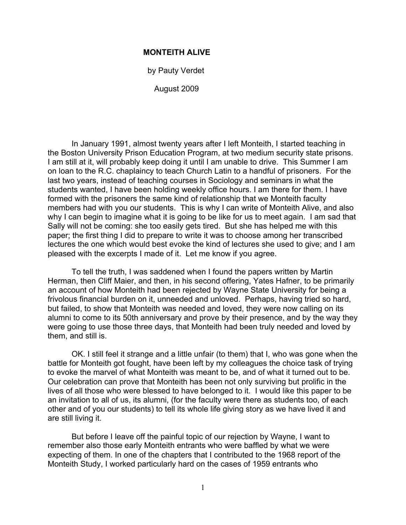## **MONTEITH ALIVE**

by Pauty Verdet

August 2009

In January 1991, almost twenty years after I left Monteith, I started teaching in the Boston University Prison Education Program, at two medium security state prisons. I am still at it, will probably keep doing it until I am unable to drive. This Summer I am on loan to the R.C. chaplaincy to teach Church Latin to a handful of prisoners. For the last two years, instead of teaching courses in Sociology and seminars in what the students wanted, I have been holding weekly office hours. I am there for them. I have formed with the prisoners the same kind of relationship that we Monteith faculty members had with you our students. This is why I can write of Monteith Alive, and also why I can begin to imagine what it is going to be like for us to meet again. I am sad that Sally will not be coming: she too easily gets tired. But she has helped me with this paper; the first thing I did to prepare to write it was to choose among her transcribed lectures the one which would best evoke the kind of lectures she used to give; and I am pleased with the excerpts I made of it. Let me know if you agree.

To tell the truth, I was saddened when I found the papers written by Martin Herman, then Cliff Maier, and then, in his second offering, Yates Hafner, to be primarily an account of how Monteith had been rejected by Wayne State University for being a frivolous financial burden on it, unneeded and unloved. Perhaps, having tried so hard, but failed, to show that Monteith was needed and loved, they were now calling on its alumni to come to its 50th anniversary and prove by their presence, and by the way they were going to use those three days, that Monteith had been truly needed and loved by them, and still is.

OK. I still feel it strange and a little unfair (to them) that I, who was gone when the battle for Monteith got fought, have been left by my colleagues the choice task of trying to evoke the marvel of what Monteith was meant to be, and of what it turned out to be. Our celebration can prove that Monteith has been not only surviving but prolific in the lives of all those who were blessed to have belonged to it. I would like this paper to be an invitation to all of us, its alumni, (for the faculty were there as students too, of each other and of you our students) to tell its whole life giving story as we have lived it and are still living it.

But before I leave off the painful topic of our rejection by Wayne, I want to remember also those early Monteith entrants who were baffled by what we were expecting of them. In one of the chapters that I contributed to the 1968 report of the Monteith Study, I worked particularly hard on the cases of 1959 entrants who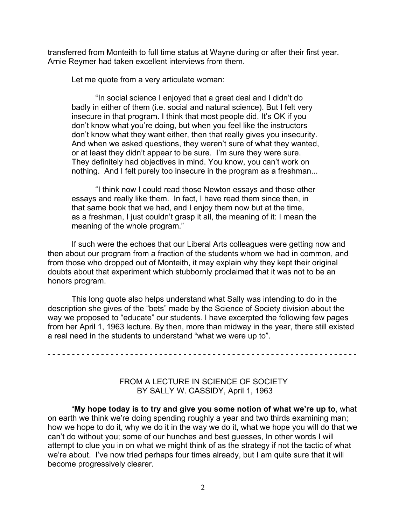transferred from Monteith to full time status at Wayne during or after their first year. Arnie Reymer had taken excellent interviews from them.

Let me quote from a very articulate woman:

"In social science I enjoyed that a great deal and I didn't do badly in either of them (i.e. social and natural science). But I felt very insecure in that program. I think that most people did. It's OK if you don't know what you're doing, but when you feel like the instructors don't know what they want either, then that really gives you insecurity. And when we asked questions, they weren't sure of what they wanted, or at least they didn't appear to be sure. I'm sure they were sure. They definitely had objectives in mind. You know, you can't work on nothing. And I felt purely too insecure in the program as a freshman...

"I think now I could read those Newton essays and those other essays and really like them. In fact, I have read them since then, in that same book that we had, and I enjoy them now but at the time, as a freshman, I just couldn't grasp it all, the meaning of it: I mean the meaning of the whole program."

If such were the echoes that our Liberal Arts colleagues were getting now and then about our program from a fraction of the students whom we had in common, and from those who dropped out of Monteith, it may explain why they kept their original doubts about that experiment which stubbornly proclaimed that it was not to be an honors program.

This long quote also helps understand what Sally was intending to do in the description she gives of the "bets" made by the Science of Society division about the way we proposed to "educate" our students. I have excerpted the following few pages from her April 1, 1963 lecture. By then, more than midway in the year, there still existed a real need in the students to understand "what we were up to".

- - - - - - - - - - - - - - - - - - - - - - - - - - - - - - - - - - - - - - - - - - - - - - - - - - - - - - - - - - - - - - - -

## FROM A LECTURE IN SCIENCE OF SOCIETY BY SALLY W. CASSIDY, April 1, 1963

"**My hope today is to try and give you some notion of what we're up to**, what on earth we think we're doing spending roughly a year and two thirds examining man; how we hope to do it, why we do it in the way we do it, what we hope you will do that we can't do without you; some of our hunches and best guesses, In other words I will attempt to clue you in on what we might think of as the strategy if not the tactic of what we're about. I've now tried perhaps four times already, but I am quite sure that it will become progressively clearer.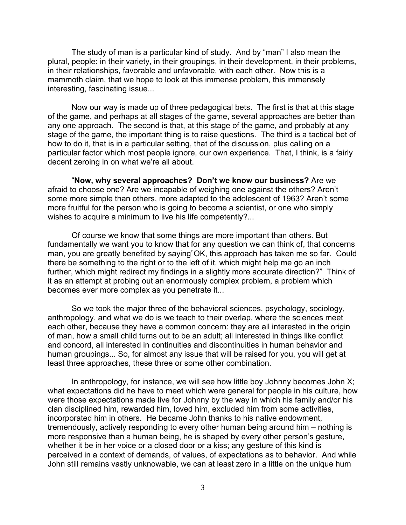The study of man is a particular kind of study. And by "man" I also mean the plural, people: in their variety, in their groupings, in their development, in their problems, in their relationships, favorable and unfavorable, with each other. Now this is a mammoth claim, that we hope to look at this immense problem, this immensely interesting, fascinating issue...

Now our way is made up of three pedagogical bets. The first is that at this stage of the game, and perhaps at all stages of the game, several approaches are better than any one approach. The second is that, at this stage of the game, and probably at any stage of the game, the important thing is to raise questions. The third is a tactical bet of how to do it, that is in a particular setting, that of the discussion, plus calling on a particular factor which most people ignore, our own experience. That, I think, is a fairly decent zeroing in on what we're all about.

"**Now, why several approaches? Don't we know our business?** Are we afraid to choose one? Are we incapable of weighing one against the others? Aren't some more simple than others, more adapted to the adolescent of 1963? Aren't some more fruitful for the person who is going to become a scientist, or one who simply wishes to acquire a minimum to live his life competently?...

Of course we know that some things are more important than others. But fundamentally we want you to know that for any question we can think of, that concerns man, you are greatly benefited by saying"OK, this approach has taken me so far. Could there be something to the right or to the left of it, which might help me go an inch further, which might redirect my findings in a slightly more accurate direction?" Think of it as an attempt at probing out an enormously complex problem, a problem which becomes ever more complex as you penetrate it...

So we took the major three of the behavioral sciences, psychology, sociology, anthropology, and what we do is we teach to their overlap, where the sciences meet each other, because they have a common concern: they are all interested in the origin of man, how a small child turns out to be an adult; all interested in things like conflict and concord, all interested in continuities and discontinuities in human behavior and human groupings... So, for almost any issue that will be raised for you, you will get at least three approaches, these three or some other combination.

In anthropology, for instance, we will see how little boy Johnny becomes John X; what expectations did he have to meet which were general for people in his culture, how were those expectations made live for Johnny by the way in which his family and/or his clan disciplined him, rewarded him, loved him, excluded him from some activities, incorporated him in others. He became John thanks to his native endowment, tremendously, actively responding to every other human being around him – nothing is more responsive than a human being, he is shaped by every other person's gesture, whether it be in her voice or a closed door or a kiss; any gesture of this kind is perceived in a context of demands, of values, of expectations as to behavior. And while John still remains vastly unknowable, we can at least zero in a little on the unique hum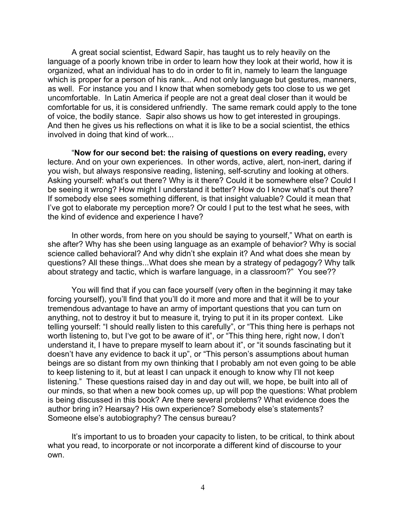A great social scientist, Edward Sapir, has taught us to rely heavily on the language of a poorly known tribe in order to learn how they look at their world, how it is organized, what an individual has to do in order to fit in, namely to learn the language which is proper for a person of his rank... And not only language but gestures, manners, as well. For instance you and I know that when somebody gets too close to us we get uncomfortable. In Latin America if people are not a great deal closer than it would be comfortable for us, it is considered unfriendly. The same remark could apply to the tone of voice, the bodily stance. Sapir also shows us how to get interested in groupings. And then he gives us his reflections on what it is like to be a social scientist, the ethics involved in doing that kind of work...

"**Now for our second bet: the raising of questions on every reading,** every lecture. And on your own experiences. In other words, active, alert, non-inert, daring if you wish, but always responsive reading, listening, self-scrutiny and looking at others. Asking yourself: what's out there? Why is it there? Could it be somewhere else? Could I be seeing it wrong? How might I understand it better? How do I know what's out there? If somebody else sees something different, is that insight valuable? Could it mean that I've got to elaborate my perception more? Or could I put to the test what he sees, with the kind of evidence and experience I have?

In other words, from here on you should be saying to yourself," What on earth is she after? Why has she been using language as an example of behavior? Why is social science called behavioral? And why didn't she explain it? And what does she mean by questions? All these things...What does she mean by a strategy of pedagogy? Why talk about strategy and tactic, which is warfare language, in a classroom?" You see??

You will find that if you can face yourself (very often in the beginning it may take forcing yourself), you'll find that you'll do it more and more and that it will be to your tremendous advantage to have an army of important questions that you can turn on anything, not to destroy it but to measure it, trying to put it in its proper context. Like telling yourself: "I should really listen to this carefully", or "This thing here is perhaps not worth listening to, but I've got to be aware of it", or "This thing here, right now, I don't understand it, I have to prepare myself to learn about it", or "it sounds fascinating but it doesn't have any evidence to back it up", or "This person's assumptions about human beings are so distant from my own thinking that I probably am not even going to be able to keep listening to it, but at least I can unpack it enough to know why I'll not keep listening." These questions raised day in and day out will, we hope, be built into all of our minds, so that when a new book comes up, up will pop the questions: What problem is being discussed in this book? Are there several problems? What evidence does the author bring in? Hearsay? His own experience? Somebody else's statements? Someone else's autobiography? The census bureau?

It's important to us to broaden your capacity to listen, to be critical, to think about what you read, to incorporate or not incorporate a different kind of discourse to your own.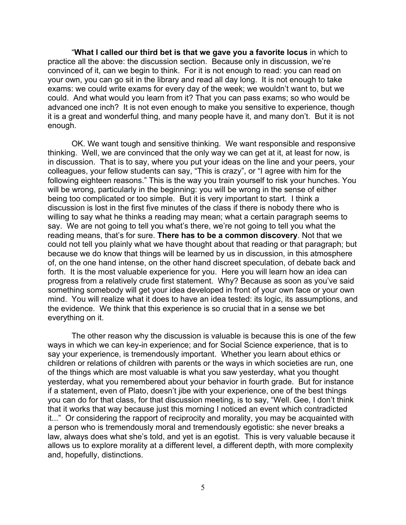"**What I called our third bet is that we gave you a favorite locus** in which to practice all the above: the discussion section. Because only in discussion, we're convinced of it, can we begin to think. For it is not enough to read: you can read on your own, you can go sit in the library and read all day long. It is not enough to take exams: we could write exams for every day of the week; we wouldn't want to, but we could. And what would you learn from it? That you can pass exams; so who would be advanced one inch? It is not even enough to make you sensitive to experience, though it is a great and wonderful thing, and many people have it, and many don't. But it is not enough.

OK. We want tough and sensitive thinking. We want responsible and responsive thinking. Well, we are convinced that the only way we can get at it, at least for now, is in discussion. That is to say, where you put your ideas on the line and your peers, your colleagues, your fellow students can say, "This is crazy", or "I agree with him for the following eighteen reasons." This is the way you train yourself to risk your hunches. You will be wrong, particularly in the beginning: you will be wrong in the sense of either being too complicated or too simple. But it is very important to start. I think a discussion is lost in the first five minutes of the class if there is nobody there who is willing to say what he thinks a reading may mean; what a certain paragraph seems to say. We are not going to tell you what's there, we're not going to tell you what the reading means, that's for sure. **There has to be a common discovery**. Not that we could not tell you plainly what we have thought about that reading or that paragraph; but because we do know that things will be learned by us in discussion, in this atmosphere of, on the one hand intense, on the other hand discreet speculation, of debate back and forth. It is the most valuable experience for you. Here you will learn how an idea can progress from a relatively crude first statement. Why? Because as soon as you've said something somebody will get your idea developed in front of your own face or your own mind. You will realize what it does to have an idea tested: its logic, its assumptions, and the evidence. We think that this experience is so crucial that in a sense we bet everything on it.

The other reason why the discussion is valuable is because this is one of the few ways in which we can key-in experience; and for Social Science experience, that is to say your experience, is tremendously important. Whether you learn about ethics or children or relations of children with parents or the ways in which societies are run, one of the things which are most valuable is what you saw yesterday, what you thought yesterday, what you remembered about your behavior in fourth grade. But for instance if a statement, even of Plato, doesn't jibe with your experience, one of the best things you can do for that class, for that discussion meeting, is to say, "Well. Gee, I don't think that it works that way because just this morning I noticed an event which contradicted it..." Or considering the rapport of reciprocity and morality, you may be acquainted with a person who is tremendously moral and tremendously egotistic: she never breaks a law, always does what she's told, and yet is an egotist. This is very valuable because it allows us to explore morality at a different level, a different depth, with more complexity and, hopefully, distinctions.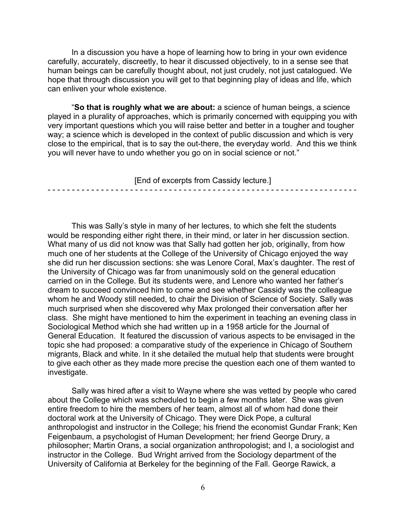In a discussion you have a hope of learning how to bring in your own evidence carefully, accurately, discreetly, to hear it discussed objectively, to in a sense see that human beings can be carefully thought about, not just crudely, not just catalogued. We hope that through discussion you will get to that beginning play of ideas and life, which can enliven your whole existence.

"**So that is roughly what we are about:** a science of human beings, a science played in a plurality of approaches, which is primarily concerned with equipping you with very important questions which you will raise better and better in a tougher and tougher way; a science which is developed in the context of public discussion and which is very close to the empirical, that is to say the out-there, the everyday world. And this we think you will never have to undo whether you go on in social science or not."

[End of excerpts from Cassidy lecture.]

- - - - - - - - - - - - - - - - - - - - - - - - - - - - - - - - - - - - - - - - - - - - - - - - - - - - - - - - - - - - - - - -

This was Sally's style in many of her lectures, to which she felt the students would be responding either right there, in their mind, or later in her discussion section. What many of us did not know was that Sally had gotten her job, originally, from how much one of her students at the College of the University of Chicago enjoyed the way she did run her discussion sections: she was Lenore Coral, Max's daughter. The rest of the University of Chicago was far from unanimously sold on the general education carried on in the College. But its students were, and Lenore who wanted her father's dream to succeed convinced him to come and see whether Cassidy was the colleague whom he and Woody still needed, to chair the Division of Science of Society. Sally was much surprised when she discovered why Max prolonged their conversation after her class. She might have mentioned to him the experiment in teaching an evening class in Sociological Method which she had written up in a 1958 article for the Journal of General Education. It featured the discussion of various aspects to be envisaged in the topic she had proposed: a comparative study of the experience in Chicago of Southern migrants, Black and white. In it she detailed the mutual help that students were brought to give each other as they made more precise the question each one of them wanted to investigate.

Sally was hired after a visit to Wayne where she was vetted by people who cared about the College which was scheduled to begin a few months later. She was given entire freedom to hire the members of her team, almost all of whom had done their doctoral work at the University of Chicago. They were Dick Pope, a cultural anthropologist and instructor in the College; his friend the economist Gundar Frank; Ken Feigenbaum, a psychologist of Human Development; her friend George Drury, a philosopher; Martin Orans, a social organization anthropologist; and I, a sociologist and instructor in the College. Bud Wright arrived from the Sociology department of the University of California at Berkeley for the beginning of the Fall. George Rawick, a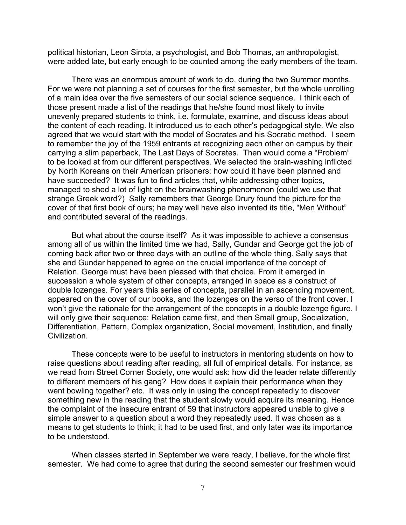political historian, Leon Sirota, a psychologist, and Bob Thomas, an anthropologist, were added late, but early enough to be counted among the early members of the team.

There was an enormous amount of work to do, during the two Summer months. For we were not planning a set of courses for the first semester, but the whole unrolling of a main idea over the five semesters of our social science sequence. I think each of those present made a list of the readings that he/she found most likely to invite unevenly prepared students to think, i.e. formulate, examine, and discuss ideas about the content of each reading. It introduced us to each other's pedagogical style. We also agreed that we would start with the model of Socrates and his Socratic method. I seem to remember the joy of the 1959 entrants at recognizing each other on campus by their carrying a slim paperback, The Last Days of Socrates. Then would come a "Problem" to be looked at from our different perspectives. We selected the brain-washing inflicted by North Koreans on their American prisoners: how could it have been planned and have succeeded? It was fun to find articles that, while addressing other topics, managed to shed a lot of light on the brainwashing phenomenon (could we use that strange Greek word?) Sally remembers that George Drury found the picture for the cover of that first book of ours; he may well have also invented its title, "Men Without" and contributed several of the readings.

But what about the course itself? As it was impossible to achieve a consensus among all of us within the limited time we had, Sally, Gundar and George got the job of coming back after two or three days with an outline of the whole thing. Sally says that she and Gundar happened to agree on the crucial importance of the concept of Relation. George must have been pleased with that choice. From it emerged in succession a whole system of other concepts, arranged in space as a construct of double lozenges. For years this series of concepts, parallel in an ascending movement, appeared on the cover of our books, and the lozenges on the verso of the front cover. I won't give the rationale for the arrangement of the concepts in a double lozenge figure. I will only give their sequence: Relation came first, and then Small group, Socialization, Differentiation, Pattern, Complex organization, Social movement, Institution, and finally Civilization.

These concepts were to be useful to instructors in mentoring students on how to raise questions about reading after reading, all full of empirical details. For instance, as we read from Street Corner Society, one would ask: how did the leader relate differently to different members of his gang? How does it explain their performance when they went bowling together? etc. It was only in using the concept repeatedly to discover something new in the reading that the student slowly would acquire its meaning. Hence the complaint of the insecure entrant of 59 that instructors appeared unable to give a simple answer to a question about a word they repeatedly used. It was chosen as a means to get students to think; it had to be used first, and only later was its importance to be understood.

When classes started in September we were ready, I believe, for the whole first semester. We had come to agree that during the second semester our freshmen would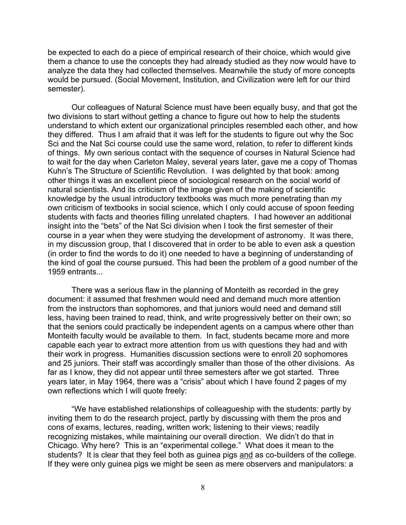be expected to each do a piece of empirical research of their choice, which would give them a chance to use the concepts they had already studied as they now would have to analyze the data they had collected themselves. Meanwhile the study of more concepts would be pursued. (Social Movement, Institution, and Civilization were left for our third semester).

Our colleagues of Natural Science must have been equally busy, and that got the two divisions to start without getting a chance to figure out how to help the students understand to which extent our organizational principles resembled each other, and how they differed. Thus I am afraid that it was left for the students to figure out why the Soc Sci and the Nat Sci course could use the same word, relation, to refer to different kinds of things. My own serious contact with the sequence of courses in Natural Science had to wait for the day when Carleton Maley, several years later, gave me a copy of Thomas Kuhn's The Structure of Scientific Revolution. I was delighted by that book: among other things it was an excellent piece of sociological research on the social world of natural scientists. And its criticism of the image given of the making of scientific knowledge by the usual introductory textbooks was much more penetrating than my own criticism of textbooks in social science, which I only could accuse of spoon feeding students with facts and theories filling unrelated chapters. I had however an additional insight into the "bets" of the Nat Sci division when I took the first semester of their course in a year when they were studying the development of astronomy. It was there, in my discussion group, that I discovered that in order to be able to even ask a question (in order to find the words to do it) one needed to have a beginning of understanding of the kind of goal the course pursued. This had been the problem of a good number of the 1959 entrants...

There was a serious flaw in the planning of Monteith as recorded in the grey document: it assumed that freshmen would need and demand much more attention from the instructors than sophomores, and that juniors would need and demand still less, having been trained to read, think, and write progressively better on their own; so that the seniors could practically be independent agents on a campus where other than Monteith faculty would be available to them. In fact, students became more and more capable each year to extract more attention from us with questions they had and with their work in progress. Humanities discussion sections were to enroll 20 sophomores and 25 juniors. Their staff was accordingly smaller than those of the other divisions. As far as I know, they did not appear until three semesters after we got started. Three years later, in May 1964, there was a "crisis" about which I have found 2 pages of my own reflections which I will quote freely:

"We have established relationships of colleagueship with the students: partly by inviting them to do the research project, partly by discussing with them the pros and cons of exams, lectures, reading, written work; listening to their views; readily recognizing mistakes, while maintaining our overall direction. We didn't do that in Chicago. Why here? This is an "experimental college." What does it mean to the students? It is clear that they feel both as guinea pigs and as co-builders of the college. If they were only guinea pigs we might be seen as mere observers and manipulators: a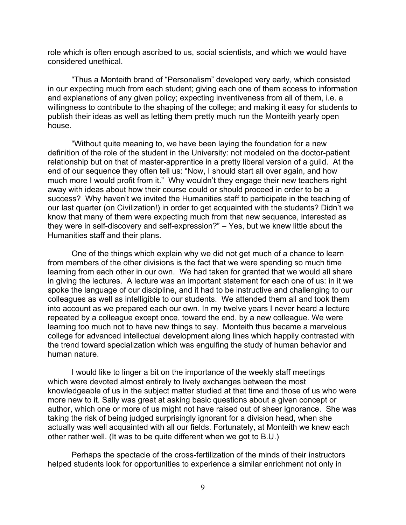role which is often enough ascribed to us, social scientists, and which we would have considered unethical.

"Thus a Monteith brand of "Personalism" developed very early, which consisted in our expecting much from each student; giving each one of them access to information and explanations of any given policy; expecting inventiveness from all of them, i.e. a willingness to contribute to the shaping of the college; and making it easy for students to publish their ideas as well as letting them pretty much run the Monteith yearly open house.

"Without quite meaning to, we have been laying the foundation for a new definition of the role of the student in the University: not modeled on the doctor-patient relationship but on that of master-apprentice in a pretty liberal version of a guild. At the end of our sequence they often tell us: "Now, I should start all over again, and how much more I would profit from it." Why wouldn't they engage their new teachers right away with ideas about how their course could or should proceed in order to be a success? Why haven't we invited the Humanities staff to participate in the teaching of our last quarter (on Civilization!) in order to get acquainted with the students? Didn't we know that many of them were expecting much from that new sequence, interested as they were in self-discovery and self-expression?" – Yes, but we knew little about the Humanities staff and their plans.

One of the things which explain why we did not get much of a chance to learn from members of the other divisions is the fact that we were spending so much time learning from each other in our own. We had taken for granted that we would all share in giving the lectures. A lecture was an important statement for each one of us: in it we spoke the language of our discipline, and it had to be instructive and challenging to our colleagues as well as intelligible to our students. We attended them all and took them into account as we prepared each our own. In my twelve years I never heard a lecture repeated by a colleague except once, toward the end, by a new colleague. We were learning too much not to have new things to say. Monteith thus became a marvelous college for advanced intellectual development along lines which happily contrasted with the trend toward specialization which was engulfing the study of human behavior and human nature.

I would like to linger a bit on the importance of the weekly staff meetings which were devoted almost entirely to lively exchanges between the most knowledgeable of us in the subject matter studied at that time and those of us who were more new to it. Sally was great at asking basic questions about a given concept or author, which one or more of us might not have raised out of sheer ignorance. She was taking the risk of being judged surprisingly ignorant for a division head, when she actually was well acquainted with all our fields. Fortunately, at Monteith we knew each other rather well. (It was to be quite different when we got to B.U.)

Perhaps the spectacle of the cross-fertilization of the minds of their instructors helped students look for opportunities to experience a similar enrichment not only in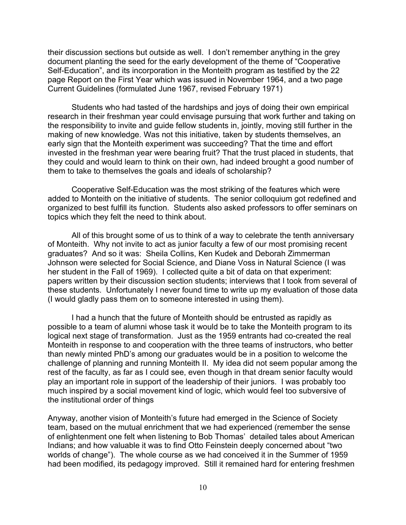their discussion sections but outside as well. I don't remember anything in the grey document planting the seed for the early development of the theme of "Cooperative Self-Education", and its incorporation in the Monteith program as testified by the 22 page Report on the First Year which was issued in November 1964, and a two page Current Guidelines (formulated June 1967, revised February 1971)

Students who had tasted of the hardships and joys of doing their own empirical research in their freshman year could envisage pursuing that work further and taking on the responsibility to invite and guide fellow students in, jointly, moving still further in the making of new knowledge. Was not this initiative, taken by students themselves, an early sign that the Monteith experiment was succeeding? That the time and effort invested in the freshman year were bearing fruit? That the trust placed in students, that they could and would learn to think on their own, had indeed brought a good number of them to take to themselves the goals and ideals of scholarship?

Cooperative Self-Education was the most striking of the features which were added to Monteith on the initiative of students. The senior colloquium got redefined and organized to best fulfill its function. Students also asked professors to offer seminars on topics which they felt the need to think about.

All of this brought some of us to think of a way to celebrate the tenth anniversary of Monteith. Why not invite to act as junior faculty a few of our most promising recent graduates? And so it was: Sheila Collins, Ken Kudek and Deborah Zimmerman Johnson were selected for Social Science, and Diane Voss in Natural Science (I was her student in the Fall of 1969). I collected quite a bit of data on that experiment: papers written by their discussion section students; interviews that I took from several of these students. Unfortunately I never found time to write up my evaluation of those data (I would gladly pass them on to someone interested in using them).

I had a hunch that the future of Monteith should be entrusted as rapidly as possible to a team of alumni whose task it would be to take the Monteith program to its logical next stage of transformation. Just as the 1959 entrants had co-created the real Monteith in response to and cooperation with the three teams of instructors, who better than newly minted PhD's among our graduates would be in a position to welcome the challenge of planning and running Monteith II. My idea did not seem popular among the rest of the faculty, as far as I could see, even though in that dream senior faculty would play an important role in support of the leadership of their juniors. I was probably too much inspired by a social movement kind of logic, which would feel too subversive of the institutional order of things

Anyway, another vision of Monteith's future had emerged in the Science of Society team, based on the mutual enrichment that we had experienced (remember the sense of enlightenment one felt when listening to Bob Thomas' detailed tales about American Indians; and how valuable it was to find Otto Feinstein deeply concerned about "two worlds of change"). The whole course as we had conceived it in the Summer of 1959 had been modified, its pedagogy improved. Still it remained hard for entering freshmen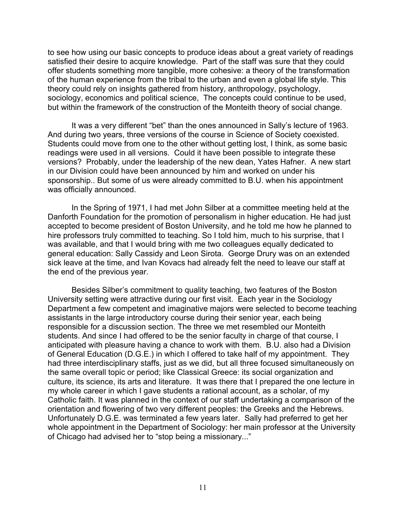to see how using our basic concepts to produce ideas about a great variety of readings satisfied their desire to acquire knowledge. Part of the staff was sure that they could offer students something more tangible, more cohesive: a theory of the transformation of the human experience from the tribal to the urban and even a global life style. This theory could rely on insights gathered from history, anthropology, psychology, sociology, economics and political science, The concepts could continue to be used, but within the framework of the construction of the Monteith theory of social change.

It was a very different "bet" than the ones announced in Sally's lecture of 1963. And during two years, three versions of the course in Science of Society coexisted. Students could move from one to the other without getting lost, I think, as some basic readings were used in all versions. Could it have been possible to integrate these versions? Probably, under the leadership of the new dean, Yates Hafner. A new start in our Division could have been announced by him and worked on under his sponsorship.. But some of us were already committed to B.U. when his appointment was officially announced.

In the Spring of 1971, I had met John Silber at a committee meeting held at the Danforth Foundation for the promotion of personalism in higher education. He had just accepted to become president of Boston University, and he told me how he planned to hire professors truly committed to teaching. So I told him, much to his surprise, that I was available, and that I would bring with me two colleagues equally dedicated to general education: Sally Cassidy and Leon Sirota. George Drury was on an extended sick leave at the time, and Ivan Kovacs had already felt the need to leave our staff at the end of the previous year.

Besides Silber's commitment to quality teaching, two features of the Boston University setting were attractive during our first visit. Each year in the Sociology Department a few competent and imaginative majors were selected to become teaching assistants in the large introductory course during their senior year, each being responsible for a discussion section. The three we met resembled our Monteith students. And since I had offered to be the senior faculty in charge of that course, I anticipated with pleasure having a chance to work with them. B.U. also had a Division of General Education (D.G.E.) in which I offered to take half of my appointment. They had three interdisciplinary staffs, just as we did, but all three focused simultaneously on the same overall topic or period; like Classical Greece: its social organization and culture, its science, its arts and literature. It was there that I prepared the one lecture in my whole career in which I gave students a rational account, as a scholar, of my Catholic faith. It was planned in the context of our staff undertaking a comparison of the orientation and flowering of two very different peoples: the Greeks and the Hebrews. Unfortunately D.G.E. was terminated a few years later. Sally had preferred to get her whole appointment in the Department of Sociology: her main professor at the University of Chicago had advised her to "stop being a missionary..."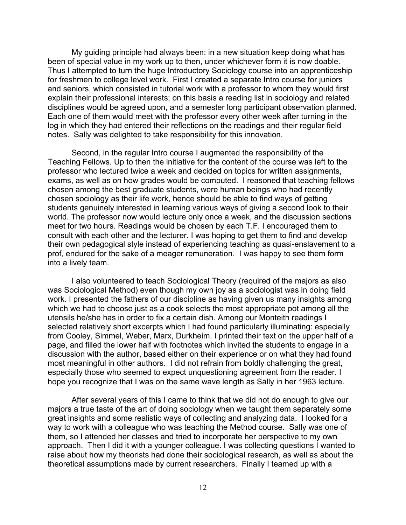My guiding principle had always been: in a new situation keep doing what has been of special value in my work up to then, under whichever form it is now doable. Thus I attempted to turn the huge Introductory Sociology course into an apprenticeship for freshmen to college level work. First I created a separate Intro course for juniors and seniors, which consisted in tutorial work with a professor to whom they would first explain their professional interests; on this basis a reading list in sociology and related disciplines would be agreed upon, and a semester long participant observation planned. Each one of them would meet with the professor every other week after turning in the log in which they had entered their reflections on the readings and their regular field notes. Sally was delighted to take responsibility for this innovation.

Second, in the regular Intro course I augmented the responsibility of the Teaching Fellows. Up to then the initiative for the content of the course was left to the professor who lectured twice a week and decided on topics for written assignments, exams, as well as on how grades would be computed. I reasoned that teaching fellows chosen among the best graduate students, were human beings who had recently chosen sociology as their life work, hence should be able to find ways of getting students genuinely interested in learning various ways of giving a second look to their world. The professor now would lecture only once a week, and the discussion sections meet for two hours. Readings would be chosen by each T.F. I encouraged them to consult with each other and the lecturer. I was hoping to get them to find and develop their own pedagogical style instead of experiencing teaching as quasi-enslavement to a prof, endured for the sake of a meager remuneration. I was happy to see them form into a lively team.

I also volunteered to teach Sociological Theory (required of the majors as also was Sociological Method) even though my own joy as a sociologist was in doing field work. I presented the fathers of our discipline as having given us many insights among which we had to choose just as a cook selects the most appropriate pot among all the utensils he/she has in order to fix a certain dish. Among our Monteith readings I selected relatively short excerpts which I had found particularly illuminating: especially from Cooley, Simmel, Weber, Marx, Durkheim. I printed their text on the upper half of a page, and filled the lower half with footnotes which invited the students to engage in a discussion with the author, based either on their experience or on what they had found most meaningful in other authors. I did not refrain from boldly challenging the great, especially those who seemed to expect unquestioning agreement from the reader. I hope you recognize that I was on the same wave length as Sally in her 1963 lecture.

After several years of this I came to think that we did not do enough to give our majors a true taste of the art of doing sociology when we taught them separately some great insights and some realistic ways of collecting and analyzing data. I looked for a way to work with a colleague who was teaching the Method course. Sally was one of them, so I attended her classes and tried to incorporate her perspective to my own approach. Then I did it with a younger colleague. I was collecting questions I wanted to raise about how my theorists had done their sociological research, as well as about the theoretical assumptions made by current researchers. Finally I teamed up with a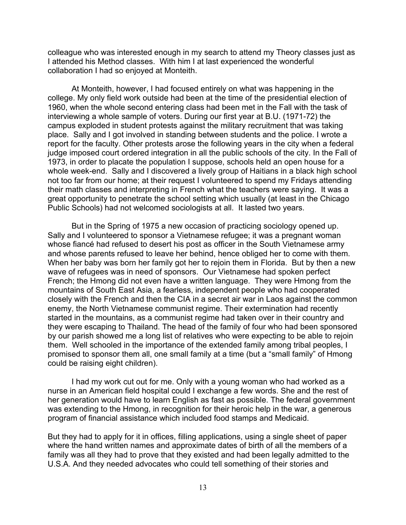colleague who was interested enough in my search to attend my Theory classes just as I attended his Method classes. With him I at last experienced the wonderful collaboration I had so enjoyed at Monteith.

At Monteith, however, I had focused entirely on what was happening in the college. My only field work outside had been at the time of the presidential election of 1960, when the whole second entering class had been met in the Fall with the task of interviewing a whole sample of voters. During our first year at B.U. (1971-72) the campus exploded in student protests against the military recruitment that was taking place. Sally and I got involved in standing between students and the police. I wrote a report for the faculty. Other protests arose the following years in the city when a federal judge imposed court ordered integration in all the public schools of the city. In the Fall of 1973, in order to placate the population I suppose, schools held an open house for a whole week-end. Sally and I discovered a lively group of Haitians in a black high school not too far from our home; at their request I volunteered to spend my Fridays attending their math classes and interpreting in French what the teachers were saying. It was a great opportunity to penetrate the school setting which usually (at least in the Chicago Public Schools) had not welcomed sociologists at all. It lasted two years.

But in the Spring of 1975 a new occasion of practicing sociology opened up. Sally and I volunteered to sponsor a Vietnamese refugee; it was a pregnant woman whose fiancé had refused to desert his post as officer in the South Vietnamese army and whose parents refused to leave her behind, hence obliged her to come with them. When her baby was born her family got her to rejoin them in Florida. But by then a new wave of refugees was in need of sponsors. Our Vietnamese had spoken perfect French; the Hmong did not even have a written language. They were Hmong from the mountains of South East Asia, a fearless, independent people who had cooperated closely with the French and then the CIA in a secret air war in Laos against the common enemy, the North Vietnamese communist regime. Their extermination had recently started in the mountains, as a communist regime had taken over in their country and they were escaping to Thailand. The head of the family of four who had been sponsored by our parish showed me a long list of relatives who were expecting to be able to rejoin them. Well schooled in the importance of the extended family among tribal peoples, I promised to sponsor them all, one small family at a time (but a "small family" of Hmong could be raising eight children).

I had my work cut out for me. Only with a young woman who had worked as a nurse in an American field hospital could I exchange a few words. She and the rest of her generation would have to learn English as fast as possible. The federal government was extending to the Hmong, in recognition for their heroic help in the war, a generous program of financial assistance which included food stamps and Medicaid.

But they had to apply for it in offices, filling applications, using a single sheet of paper where the hand written names and approximate dates of birth of all the members of a family was all they had to prove that they existed and had been legally admitted to the U.S.A. And they needed advocates who could tell something of their stories and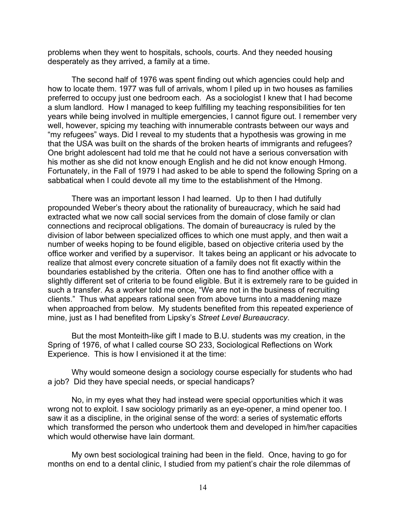problems when they went to hospitals, schools, courts. And they needed housing desperately as they arrived, a family at a time.

The second half of 1976 was spent finding out which agencies could help and how to locate them. 1977 was full of arrivals, whom I piled up in two houses as families preferred to occupy just one bedroom each. As a sociologist I knew that I had become a slum landlord. How I managed to keep fulfilling my teaching responsibilities for ten years while being involved in multiple emergencies, I cannot figure out. I remember very well, however, spicing my teaching with innumerable contrasts between our ways and "my refugees" ways. Did I reveal to my students that a hypothesis was growing in me that the USA was built on the shards of the broken hearts of immigrants and refugees? One bright adolescent had told me that he could not have a serious conversation with his mother as she did not know enough English and he did not know enough Hmong. Fortunately, in the Fall of 1979 I had asked to be able to spend the following Spring on a sabbatical when I could devote all my time to the establishment of the Hmong.

There was an important lesson I had learned. Up to then I had dutifully propounded Weber's theory about the rationality of bureaucracy, which he said had extracted what we now call social services from the domain of close family or clan connections and reciprocal obligations. The domain of bureaucracy is ruled by the division of labor between specialized offices to which one must apply, and then wait a number of weeks hoping to be found eligible, based on objective criteria used by the office worker and verified by a supervisor. It takes being an applicant or his advocate to realize that almost every concrete situation of a family does not fit exactly within the boundaries established by the criteria. Often one has to find another office with a slightly different set of criteria to be found eligible. But it is extremely rare to be guided in such a transfer. As a worker told me once, "We are not in the business of recruiting clients." Thus what appears rational seen from above turns into a maddening maze when approached from below. My students benefited from this repeated experience of mine, just as I had benefited from Lipsky's *Street Level Bureaucracy*.

But the most Monteith-like gift I made to B.U. students was my creation, in the Spring of 1976, of what I called course SO 233, Sociological Reflections on Work Experience. This is how I envisioned it at the time:

Why would someone design a sociology course especially for students who had a job? Did they have special needs, or special handicaps?

No, in my eyes what they had instead were special opportunities which it was wrong not to exploit. I saw sociology primarily as an eye-opener, a mind opener too. I saw it as a discipline, in the original sense of the word: a series of systematic efforts which transformed the person who undertook them and developed in him/her capacities which would otherwise have lain dormant.

My own best sociological training had been in the field. Once, having to go for months on end to a dental clinic, I studied from my patient's chair the role dilemmas of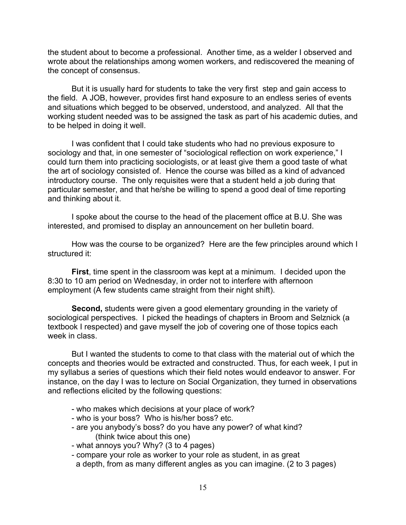the student about to become a professional. Another time, as a welder I observed and wrote about the relationships among women workers, and rediscovered the meaning of the concept of consensus.

But it is usually hard for students to take the very first step and gain access to the field. A JOB, however, provides first hand exposure to an endless series of events and situations which begged to be observed, understood, and analyzed. All that the working student needed was to be assigned the task as part of his academic duties, and to be helped in doing it well.

I was confident that I could take students who had no previous exposure to sociology and that, in one semester of "sociological reflection on work experience," I could turn them into practicing sociologists, or at least give them a good taste of what the art of sociology consisted of. Hence the course was billed as a kind of advanced introductory course. The only requisites were that a student held a job during that particular semester, and that he/she be willing to spend a good deal of time reporting and thinking about it.

I spoke about the course to the head of the placement office at B.U. She was interested, and promised to display an announcement on her bulletin board.

How was the course to be organized? Here are the few principles around which I structured it:

**First**, time spent in the classroom was kept at a minimum. I decided upon the 8:30 to 10 am period on Wednesday, in order not to interfere with afternoon employment (A few students came straight from their night shift).

**Second,** students were given a good elementary grounding in the variety of sociological perspectives. I picked the headings of chapters in Broom and Selznick (a textbook I respected) and gave myself the job of covering one of those topics each week in class.

But I wanted the students to come to that class with the material out of which the concepts and theories would be extracted and constructed. Thus, for each week, I put in my syllabus a series of questions which their field notes would endeavor to answer. For instance, on the day I was to lecture on Social Organization, they turned in observations and reflections elicited by the following questions:

- who makes which decisions at your place of work?
- who is your boss? Who is his/her boss? etc.
- are you anybody's boss? do you have any power? of what kind? (think twice about this one)
- what annoys you? Why? (3 to 4 pages)
- compare your role as worker to your role as student, in as great a depth, from as many different angles as you can imagine. (2 to 3 pages)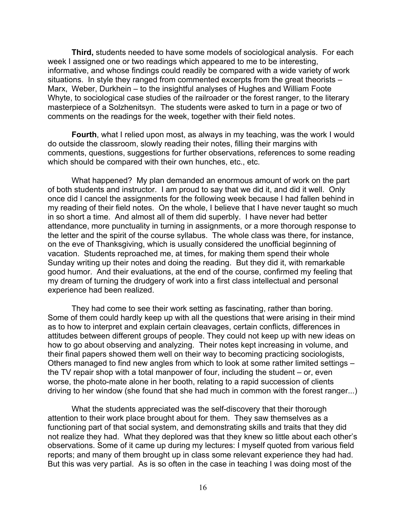**Third,** students needed to have some models of sociological analysis. For each week I assigned one or two readings which appeared to me to be interesting, informative, and whose findings could readily be compared with a wide variety of work situations. In style they ranged from commented excerpts from the great theorists – Marx, Weber, Durkhein – to the insightful analyses of Hughes and William Foote Whyte, to sociological case studies of the railroader or the forest ranger, to the literary masterpiece of a Solzhenitsyn. The students were asked to turn in a page or two of comments on the readings for the week, together with their field notes.

**Fourth**, what I relied upon most, as always in my teaching, was the work I would do outside the classroom, slowly reading their notes, filling their margins with comments, questions, suggestions for further observations, references to some reading which should be compared with their own hunches, etc., etc.

What happened? My plan demanded an enormous amount of work on the part of both students and instructor. I am proud to say that we did it, and did it well. Only once did I cancel the assignments for the following week because I had fallen behind in my reading of their field notes. On the whole, I believe that I have never taught so much in so short a time. And almost all of them did superbly. I have never had better attendance, more punctuality in turning in assignments, or a more thorough response to the letter and the spirit of the course syllabus. The whole class was there, for instance, on the eve of Thanksgiving, which is usually considered the unofficial beginning of vacation. Students reproached me, at times, for making them spend their whole Sunday writing up their notes and doing the reading. But they did it, with remarkable good humor. And their evaluations, at the end of the course, confirmed my feeling that my dream of turning the drudgery of work into a first class intellectual and personal experience had been realized.

They had come to see their work setting as fascinating, rather than boring. Some of them could hardly keep up with all the questions that were arising in their mind as to how to interpret and explain certain cleavages, certain conflicts, differences in attitudes between different groups of people. They could not keep up with new ideas on how to go about observing and analyzing. Their notes kept increasing in volume, and their final papers showed them well on their way to becoming practicing sociologists, Others managed to find new angles from which to look at some rather limited settings – the TV repair shop with a total manpower of four, including the student – or, even worse, the photo-mate alone in her booth, relating to a rapid succession of clients driving to her window (she found that she had much in common with the forest ranger...)

What the students appreciated was the self-discovery that their thorough attention to their work place brought about for them. They saw themselves as a functioning part of that social system, and demonstrating skills and traits that they did not realize they had. What they deplored was that they knew so little about each other's observations. Some of it came up during my lectures: I myself quoted from various field reports; and many of them brought up in class some relevant experience they had had. But this was very partial. As is so often in the case in teaching I was doing most of the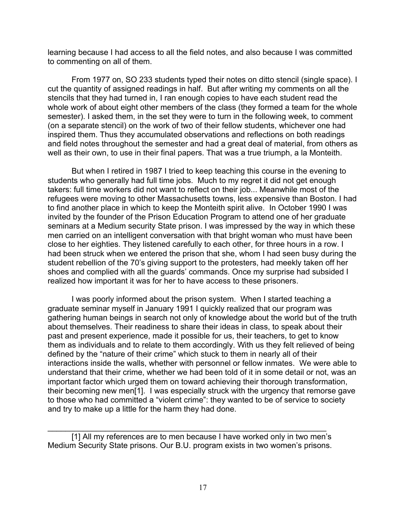learning because I had access to all the field notes, and also because I was committed to commenting on all of them.

From 1977 on, SO 233 students typed their notes on ditto stencil (single space). I cut the quantity of assigned readings in half. But after writing my comments on all the stencils that they had turned in, I ran enough copies to have each student read the whole work of about eight other members of the class (they formed a team for the whole semester). I asked them, in the set they were to turn in the following week, to comment (on a separate stencil) on the work of two of their fellow students, whichever one had inspired them. Thus they accumulated observations and reflections on both readings and field notes throughout the semester and had a great deal of material, from others as well as their own, to use in their final papers. That was a true triumph, a la Monteith.

But when I retired in 1987 I tried to keep teaching this course in the evening to students who generally had full time jobs. Much to my regret it did not get enough takers: full time workers did not want to reflect on their job... Meanwhile most of the refugees were moving to other Massachusetts towns, less expensive than Boston. I had to find another place in which to keep the Monteith spirit alive. In October 1990 I was invited by the founder of the Prison Education Program to attend one of her graduate seminars at a Medium security State prison. I was impressed by the way in which these men carried on an intelligent conversation with that bright woman who must have been close to her eighties. They listened carefully to each other, for three hours in a row. I had been struck when we entered the prison that she, whom I had seen busy during the student rebellion of the 70's giving support to the protesters, had meekly taken off her shoes and complied with all the guards' commands. Once my surprise had subsided I realized how important it was for her to have access to these prisoners.

I was poorly informed about the prison system. When I started teaching a graduate seminar myself in January 1991 I quickly realized that our program was gathering human beings in search not only of knowledge about the world but of the truth about themselves. Their readiness to share their ideas in class, to speak about their past and present experience, made it possible for us, their teachers, to get to know them as individuals and to relate to them accordingly. With us they felt relieved of being defined by the "nature of their crime" which stuck to them in nearly all of their interactions inside the walls, whether with personnel or fellow inmates. We were able to understand that their crime, whether we had been told of it in some detail or not, was an important factor which urged them on toward achieving their thorough transformation, their becoming new men[1]. I was especially struck with the urgency that remorse gave to those who had committed a "violent crime": they wanted to be of service to society and try to make up a little for the harm they had done.

[1] All my references are to men because I have worked only in two men's Medium Security State prisons. Our B.U. program exists in two women's prisons.

 $\mathcal{L}_\text{max} = \mathcal{L}_\text{max} = \mathcal{L}_\text{max} = \mathcal{L}_\text{max} = \mathcal{L}_\text{max} = \mathcal{L}_\text{max} = \mathcal{L}_\text{max} = \mathcal{L}_\text{max} = \mathcal{L}_\text{max} = \mathcal{L}_\text{max} = \mathcal{L}_\text{max} = \mathcal{L}_\text{max} = \mathcal{L}_\text{max} = \mathcal{L}_\text{max} = \mathcal{L}_\text{max} = \mathcal{L}_\text{max} = \mathcal{L}_\text{max} = \mathcal{L}_\text{max} = \mathcal{$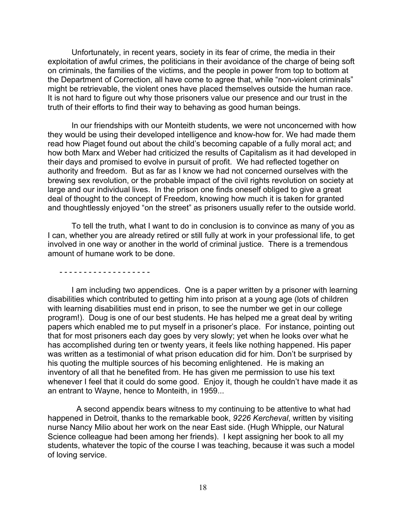Unfortunately, in recent years, society in its fear of crime, the media in their exploitation of awful crimes, the politicians in their avoidance of the charge of being soft on criminals, the families of the victims, and the people in power from top to bottom at the Department of Correction, all have come to agree that, while "non-violent criminals" might be retrievable, the violent ones have placed themselves outside the human race. It is not hard to figure out why those prisoners value our presence and our trust in the truth of their efforts to find their way to behaving as good human beings.

In our friendships with our Monteith students, we were not unconcerned with how they would be using their developed intelligence and know-how for. We had made them read how Piaget found out about the child's becoming capable of a fully moral act; and how both Marx and Weber had criticized the results of Capitalism as it had developed in their days and promised to evolve in pursuit of profit. We had reflected together on authority and freedom. But as far as I know we had not concerned ourselves with the brewing sex revolution, or the probable impact of the civil rights revolution on society at large and our individual lives. In the prison one finds oneself obliged to give a great deal of thought to the concept of Freedom, knowing how much it is taken for granted and thoughtlessly enjoyed "on the street" as prisoners usually refer to the outside world.

To tell the truth, what I want to do in conclusion is to convince as many of you as I can, whether you are already retired or still fully at work in your professional life, to get involved in one way or another in the world of criminal justice. There is a tremendous amount of humane work to be done.

- - - - - - - - - - - - - - - - - - -

I am including two appendices. One is a paper written by a prisoner with learning disabilities which contributed to getting him into prison at a young age (lots of children with learning disabilities must end in prison, to see the number we get in our college program!). Doug is one of our best students. He has helped me a great deal by writing papers which enabled me to put myself in a prisoner's place. For instance, pointing out that for most prisoners each day goes by very slowly; yet when he looks over what he has accomplished during ten or twenty years, it feels like nothing happened. His paper was written as a testimonial of what prison education did for him. Don't be surprised by his quoting the multiple sources of his becoming enlightened. He is making an inventory of all that he benefited from. He has given me permission to use his text whenever I feel that it could do some good. Enjoy it, though he couldn't have made it as an entrant to Wayne, hence to Monteith, in 1959...

 A second appendix bears witness to my continuing to be attentive to what had happened in Detroit, thanks to the remarkable book, *9226 Kercheval*, written by visiting nurse Nancy Milio about her work on the near East side. (Hugh Whipple, our Natural Science colleague had been among her friends). I kept assigning her book to all my students, whatever the topic of the course I was teaching, because it was such a model of loving service.